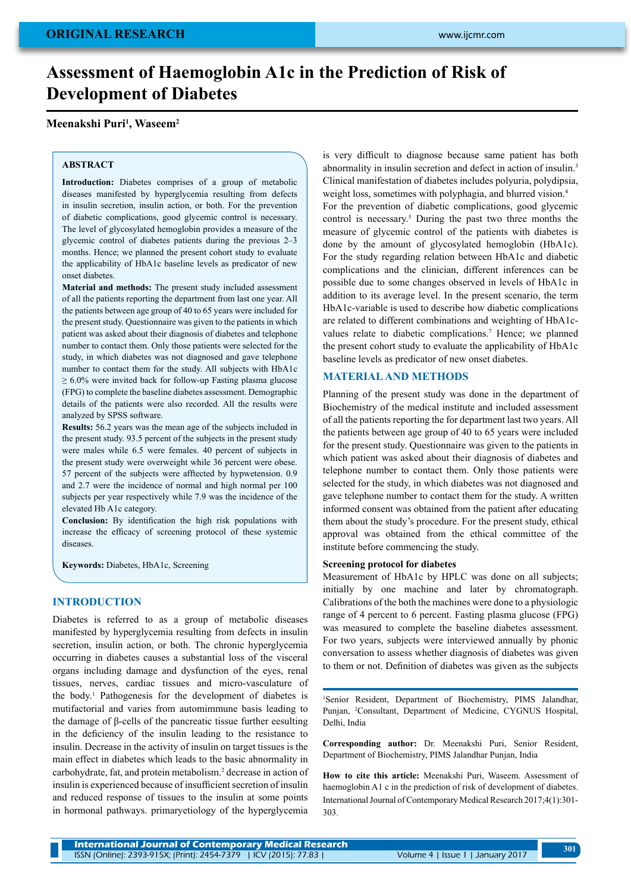# **Assessment of Haemoglobin A1c in the Prediction of Risk of Development of Diabetes**

## **Meenakshi Puri1 , Waseem2**

#### **ABSTRACT**

**Introduction:** Diabetes comprises of a group of metabolic diseases manifested by hyperglycemia resulting from defects in insulin secretion, insulin action, or both. For the prevention of diabetic complications, good glycemic control is necessary. The level of glycosylated hemoglobin provides a measure of the glycemic control of diabetes patients during the previous 2–3 months. Hence; we planned the present cohort study to evaluate the applicability of HbA1c baseline levels as predicator of new onset diabetes.

**Material and methods:** The present study included assessment of all the patients reporting the department from last one year. All the patients between age group of 40 to 65 years were included for the present study. Questionnaire was given to the patients in which patient was asked about their diagnosis of diabetes and telephone number to contact them. Only those patients were selected for the study, in which diabetes was not diagnosed and gave telephone number to contact them for the study. All subjects with HbA1c  $\geq 6.0\%$  were invited back for follow-up Fasting plasma glucose (FPG) to complete the baseline diabetes assessment. Demographic details of the patients were also recorded. All the results were analyzed by SPSS software.

**Results:** 56.2 years was the mean age of the subjects included in the present study. 93.5 percent of the subjects in the present study were males while 6.5 were females. 40 percent of subjects in the present study were overweight while 36 percent were obese. 57 percent of the subjects were afftected by hypwetension. 0.9 and 2.7 were the incidence of normal and high normal per 100 subjects per year respectively while 7.9 was the incidence of the elevated Hb A1c category.

**Conclusion:** By identification the high risk populations with increase the efficacy of screening protocol of these systemic diseases.

**Keywords:** Diabetes, HbA1c, Screening

#### **INTRODUCTION**

Diabetes is referred to as a group of metabolic diseases manifested by hyperglycemia resulting from defects in insulin secretion, insulin action, or both. The chronic hyperglycemia occurring in diabetes causes a substantial loss of the visceral organs including damage and dysfunction of the eyes, renal tissues, nerves, cardiac tissues and micro-vasculature of the body.1 Pathogenesis for the development of diabetes is mutifactorial and varies from automimmune basis leading to the damage of β-cells of the pancreatic tissue further eesulting in the deficiency of the insulin leading to the resistance to insulin. Decrease in the activity of insulin on target tissues is the main effect in diabetes which leads to the basic abnormality in carbohydrate, fat, and protein metabolism.<sup>2</sup> decrease in action of insulin is experienced because of insufficient secretion of insulin and reduced response of tissues to the insulin at some points in hormonal pathways. primaryetiology of the hyperglycemia

is very difficult to diagnose because same patient has both abnormality in insulin secretion and defect in action of insulin.3 Clinical manifestation of diabetes includes polyuria, polydipsia, weight loss, sometimes with polyphagia, and blurred vision.<sup>4</sup> For the prevention of diabetic complications, good glycemic control is necessary.<sup>5</sup> During the past two three months the measure of glycemic control of the patients with diabetes is done by the amount of glycosylated hemoglobin (HbA1c). For the study regarding relation between HbA1c and diabetic complications and the clinician, different inferences can be possible due to some changes observed in levels of HbA1c in addition to its average level. In the present scenario, the term HbA1c-variable is used to describe how diabetic complications are related to different combinations and weighting of HbA1cvalues relate to diabetic complications.<sup>7</sup> Hence; we planned the present cohort study to evaluate the applicability of HbA1c baseline levels as predicator of new onset diabetes.

## **MATERIALand METHODS**

Planning of the present study was done in the department of Biochemistry of the medical institute and included assessment of all the patients reporting the for department last two years. All the patients between age group of 40 to 65 years were included for the present study. Questionnaire was given to the patients in which patient was asked about their diagnosis of diabetes and telephone number to contact them. Only those patients were selected for the study, in which diabetes was not diagnosed and gave telephone number to contact them for the study. A written informed consent was obtained from the patient after educating them about the study's procedure. For the present study, ethical approval was obtained from the ethical committee of the institute before commencing the study.

## **Screening protocol for diabetes**

Measurement of HbA1c by HPLC was done on all subjects; initially by one machine and later by chromatograph. Calibrations of the both the machines were done to a physiologic range of 4 percent to 6 percent. Fasting plasma glucose (FPG) was measured to complete the baseline diabetes assessment. For two years, subjects were interviewed annually by phonic conversation to assess whether diagnosis of diabetes was given to them or not. Definition of diabetes was given as the subjects

1 Senior Resident, Department of Biochemistry, PIMS Jalandhar, Punjan, <sup>2</sup>Consultant, Department of Medicine, CYGNUS Hospital, Delhi, India

**Corresponding author:** Dr. Meenakshi Puri, Senior Resident, Department of Biochemistry, PIMS Jalandhar Punjan, India

**How to cite this article:** Meenakshi Puri, Waseem. Assessment of haemoglobin A1 c in the prediction of risk of development of diabetes. International Journal of Contemporary Medical Research 2017;4(1):301- 303.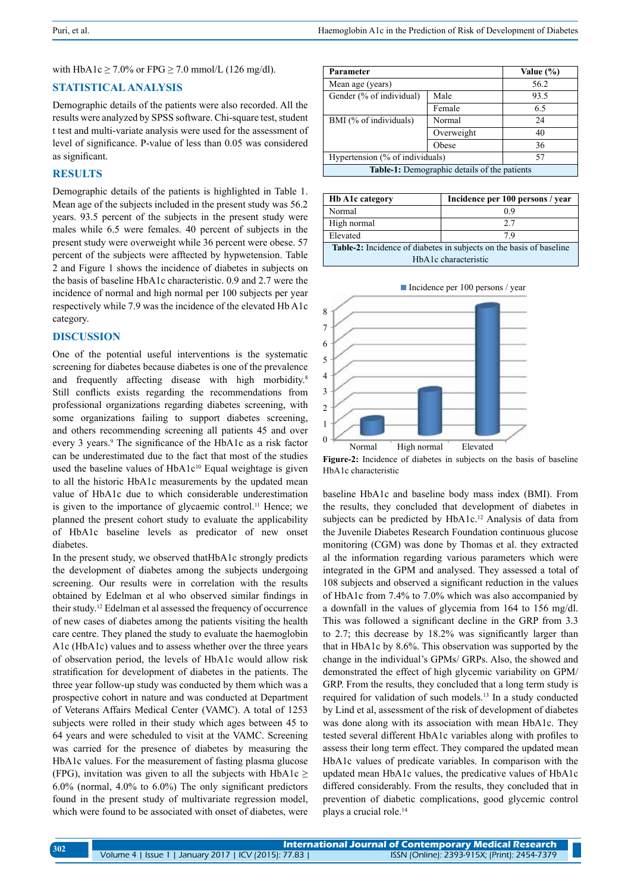with HbA1c  $\geq$  7.0% or FPG  $\geq$  7.0 mmol/L (126 mg/dl).

## **Statistical analysis**

Demographic details of the patients were also recorded. All the results were analyzed by SPSS software. Chi-square test, student t test and multi-variate analysis were used for the assessment of level of significance. P-value of less than 0.05 was considered as significant.

## **RESULTS**

Demographic details of the patients is highlighted in Table 1. Mean age of the subjects included in the present study was 56.2 years. 93.5 percent of the subjects in the present study were males while 6.5 were females. 40 percent of subjects in the present study were overweight while 36 percent were obese. 57 percent of the subjects were afftected by hypwetension. Table 2 and Figure 1 shows the incidence of diabetes in subjects on the basis of baseline HbA1c characteristic. 0.9 and 2.7 were the incidence of normal and high normal per 100 subjects per year respectively while 7.9 was the incidence of the elevated Hb A1c category.

## **DISCUSSION**

One of the potential useful interventions is the systematic screening for diabetes because diabetes is one of the prevalence and frequently affecting disease with high morbidity.<sup>8</sup> Still conflicts exists regarding the recommendations from professional organizations regarding diabetes screening, with some organizations failing to support diabetes screening, and others recommending screening all patients 45 and over every 3 years.<sup>9</sup> The significance of the HbA1c as a risk factor can be underestimated due to the fact that most of the studies used the baseline values of HbA1c<sup>10</sup> Equal weightage is given to all the historic HbA1c measurements by the updated mean value of HbA1c due to which considerable underestimation is given to the importance of glycaemic control.<sup>11</sup> Hence; we planned the present cohort study to evaluate the applicability of HbA1c baseline levels as predicator of new onset diabetes.

In the present study, we observed thatHbA1c strongly predicts the development of diabetes among the subjects undergoing screening. Our results were in correlation with the results obtained by Edelman et al who observed similar findings in their study.12 Edelman et al assessed the frequency of occurrence of new cases of diabetes among the patients visiting the health care centre. They planed the study to evaluate the haemoglobin A1c (HbA1c) values and to assess whether over the three years of observation period, the levels of HbA1c would allow risk stratification for development of diabetes in the patients. The three year follow-up study was conducted by them which was a prospective cohort in nature and was conducted at Department of Veterans Affairs Medical Center (VAMC). A total of 1253 subjects were rolled in their study which ages between 45 to 64 years and were scheduled to visit at the VAMC. Screening was carried for the presence of diabetes by measuring the HbA1c values. For the measurement of fasting plasma glucose (FPG), invitation was given to all the subjects with  $HbA1c \geq$ 6.0% (normal, 4.0% to 6.0%) The only significant predictors found in the present study of multivariate regression model, which were found to be associated with onset of diabetes, were

| <b>Parameter</b>                                    |            | Value (%) |
|-----------------------------------------------------|------------|-----------|
| Mean age (years)                                    |            | 56.2      |
| Gender (% of individual)                            | Male       | 93.5      |
|                                                     | Female     | 6.5       |
| BMI (% of individuals)                              | Normal     | 24        |
|                                                     | Overweight | 40        |
|                                                     | Obese      | 36        |
| Hypertension (% of individuals)                     |            | 57        |
| <b>Table-1:</b> Demographic details of the patients |            |           |

| <b>Hb A1c category</b>                                                     | Incidence per 100 persons / year |  |
|----------------------------------------------------------------------------|----------------------------------|--|
| Normal                                                                     | 09                               |  |
| High normal                                                                | 2.7                              |  |
| Elevated                                                                   | 79                               |  |
| <b>Table-2:</b> Incidence of diabetes in subjects on the basis of baseline |                                  |  |
| HbA1c characteristic                                                       |                                  |  |



Incidence per 100 persons / year

**Figure-2:** Incidence of diabetes in subjects on the basis of baseline HbA1c characteristic

baseline HbA1c and baseline body mass index (BMI). From the results, they concluded that development of diabetes in subjects can be predicted by HbA1c.<sup>12</sup> Analysis of data from the Juvenile Diabetes Research Foundation continuous glucose monitoring (CGM) was done by Thomas et al. they extracted al the information regarding various parameters which were integrated in the GPM and analysed. They assessed a total of 108 subjects and observed a significant reduction in the values of HbA1c from 7.4% to 7.0% which was also accompanied by a downfall in the values of glycemia from 164 to 156 mg/dl. This was followed a significant decline in the GRP from 3.3 to 2.7; this decrease by 18.2% was significantly larger than that in HbA1c by 8.6%. This observation was supported by the change in the individual's GPMs/ GRPs. Also, the showed and demonstrated the effect of high glycemic variability on GPM/ GRP. From the results, they concluded that a long term study is required for validation of such models.13 In a study conducted by Lind et al, assessment of the risk of development of diabetes was done along with its association with mean HbA1c. They tested several different HbA1c variables along with profiles to assess their long term effect. They compared the updated mean HbA1c values of predicate variables. In comparison with the updated mean HbA1c values, the predicative values of HbA1c differed considerably. From the results, they concluded that in prevention of diabetic complications, good glycemic control plays a crucial role.14